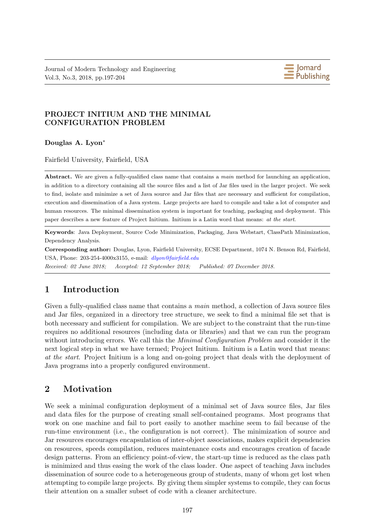Journal of Modern Technology and Engineering Vol.3, No.3, 2018, pp.197-204



# **PROJECT INITIUM AND THE MINIMAL CONFIGURATION PROBLEM**

**Douglas A. Lyon***∗*

Fairfield University, Fairfield, USA

**Abstract.** We are given a fully-qualified class name that contains a *main* method for launching an application, in addition to a directory containing all the source files and a list of Jar files used in the larger project. We seek to find, isolate and minimize a set of Java source and Jar files that are necessary and sufficient for compilation, execution and dissemination of a Java system. Large projects are hard to compile and take a lot of computer and human resources. The minimal dissemination system is important for teaching, packaging and deployment. This paper describes a new feature of Project Initium. Initium is a Latin word that means: *at the start*.

**Keywords**: Java Deployment, Source Code Minimization, Packaging, Java Webstart, ClassPath Minimization, Dependency Analysis.

**Corresponding author:** Douglas, Lyon, Fairfield University, ECSE Department, 1074 N. Benson Rd, Fairfield, USA, Phone: 203-254-4000x3155, e-mail: *dlyon@fairfield.edu*

*Received: 02 June 2018; Accepted: 12 September 2018; Published: 07 December 2018.*

# **1 Introduction**

Given a fully-qualified class name that contains a *main* method, a collection of Java source files and Jar files, organized in a directory tree structure, we seek to find a minimal file set that is both necessary and sufficient for compilation. We are subject to the constraint that the run-time requires no additional resources (including data or libraries) and that we can run the program without introducing errors. We call this the *Minimal Configuration Problem* and consider it the next logical step in what we have termed; Project Initium. Initium is a Latin word that means: *at the start*. Project Initium is a long and on-going project that deals with the deployment of Java programs into a properly configured environment.

# **2 Motivation**

We seek a minimal configuration deployment of a minimal set of Java source files, Jar files and data files for the purpose of creating small self-contained programs. Most programs that work on one machine and fail to port easily to another machine seem to fail because of the run-time environment (i.e., the configuration is not correct). The minimization of source and Jar resources encourages encapsulation of inter-object associations, makes explicit dependencies on resources, speeds compilation, reduces maintenance costs and encourages creation of facade design patterns. From an efficiency point-of-view, the start-up time is reduced as the class path is minimized and thus easing the work of the class loader. One aspect of teaching Java includes dissemination of source code to a heterogeneous group of students, many of whom get lost when attempting to compile large projects. By giving them simpler systems to compile, they can focus their attention on a smaller subset of code with a cleaner architecture.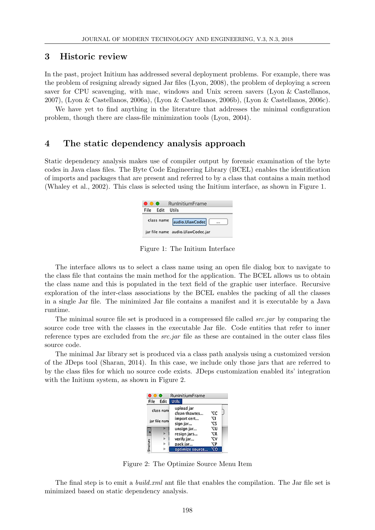#### **3 Historic review**

In the past, project Initium has addressed several deployment problems. For example, there was the problem of resigning already signed Jar files (Lyon, 2008), the problem of deploying a screen saver for CPU scavenging, with mac, windows and Unix screen savers (Lyon & Castellanos, 2007), (Lyon & Castellanos, 2006a), (Lyon & Castellanos, 2006b), (Lyon & Castellanos, 2006c).

We have yet to find anything in the literature that addresses the minimal configuration problem, though there are class-file minimization tools (Lyon, 2004).

### **4 The static dependency analysis approach**

Static dependency analysis makes use of compiler output by forensic examination of the byte codes in Java class files. The Byte Code Engineering Library (BCEL) enables the identification of imports and packages that are present and referred to by a class that contains a main method (Whaley et al., 2002). This class is selected using the Initium interface, as shown in Figure 1.



Figure 1: The Initium Interface

The interface allows us to select a class name using an open file dialog box to navigate to the class file that contains the main method for the application. The BCEL allows us to obtain the class name and this is populated in the text field of the graphic user interface. Recursive exploration of the inter-class associations by the BCEL enables the packing of all the classes in a single Jar file. The minimized Jar file contains a manifest and it is executable by a Java runtime.

The minimal source file set is produced in a compressed file called *src.jar* by comparing the source code tree with the classes in the executable Jar file. Code entities that refer to inner reference types are excluded from the *src.jar* file as these are contained in the outer class files source code.

The minimal Jar library set is produced via a class path analysis using a customized version of the JDeps tool (Sharan, 2014). In this case, we include only those jars that are referred to by the class files for which no source code exists. JDeps customization enabled its' integration with the Initium system, as shown in Figure 2.

|              |      |                             | RunInitiumFrame |     |  |
|--------------|------|-----------------------------|-----------------|-----|--|
| File         | Edit | <b>Utils</b>                |                 |     |  |
| class nam    |      | upload jar<br>clean thawtes |                 | νс  |  |
| jar file nam |      |                             | import cert     | ٦J  |  |
|              |      |                             | sign jar        | ٦cs |  |
|              |      |                             | unsign jar      | ٦U  |  |
| п            |      |                             | resign jars     | ٦ĭR |  |
| Structure    | ь    |                             | verify jar      | ٦V  |  |
|              |      |                             | pack jar…       | ``  |  |
|              |      |                             | optimize source |     |  |

Figure 2: The Optimize Source Menu Item

The final step is to emit a *build.xml* ant file that enables the compilation. The Jar file set is minimized based on static dependency analysis.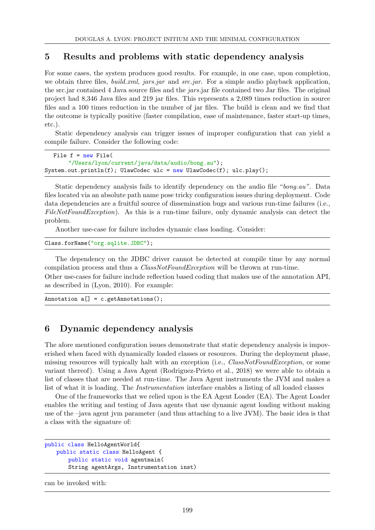### **5 Results and problems with static dependency analysis**

For some cases, the system produces good results. For example, in one case, upon completion, we obtain three files, *build.xml, jars.jar* and *src.jar*. For a simple audio playback application, the src.jar contained 4 Java source files and the *jars.*jar file contained two Jar files. The original project had 8,346 Java files and 219 jar files. This represents a 2,089 times reduction in source files and a 100 times reduction in the number of jar files. The build is clean and we find that the outcome is typically positive (faster compilation, ease of maintenance, faster start-up times, etc.).

Static dependency analysis can trigger issues of improper configuration that can yield a compile failure. Consider the following code:

```
File f = new File("/Users/lyon/current/java/data/audio/bong.au");
System.out.println(f); UlawCodec ulc = new UlawCodec(f); ulc.play();
```
Static dependency analysis fails to identify dependency on the audio file "*bong.au".* Data files located via an absolute path name pose tricky configuration issues during deployment. Code data dependencies are a fruitful source of dissemination bugs and various run-time failures (i.e., *FileNotFoundException*). As this is a run-time failure, only dynamic analysis can detect the problem.

Another use-case for failure includes dynamic class loading. Consider:

```
Class.forName("org.sqlite.JDBC");
```
The dependency on the JDBC driver cannot be detected at compile time by any normal compilation process and thus a *ClassNotFoundException* will be thrown at run-time. Other use-cases for failure include reflection based coding that makes use of the annotation API, as described in (Lyon, 2010). For example:

Annotation a[] = c.getAnnotations();

# **6 Dynamic dependency analysis**

The afore mentioned configuration issues demonstrate that static dependency analysis is impoverished when faced with dynamically loaded classes or resources. During the deployment phase, missing resources will typically halt with an exception (i.e., *ClassNotFoundException*, or some variant thereof). Using a Java Agent (Rodriguez-Prieto et al., 2018) we were able to obtain a list of classes that are needed at run-time. The Java Agent instruments the JVM and makes a list of what it is loading. The *Instrumentation* interface enables a listing of all loaded classes

One of the frameworks that we relied upon is the EA Agent Loader (EA). The Agent Loader enables the writing and testing of Java agents that use dynamic agent loading without making use of the –java agent jvm parameter (and thus attaching to a live JVM). The basic idea is that a class with the signature of:

```
public class HelloAgentWorld{
   public static class HelloAgent {
       public static void agentmain(
       String agentArgs, Instrumentation inst)
```
can be invoked with: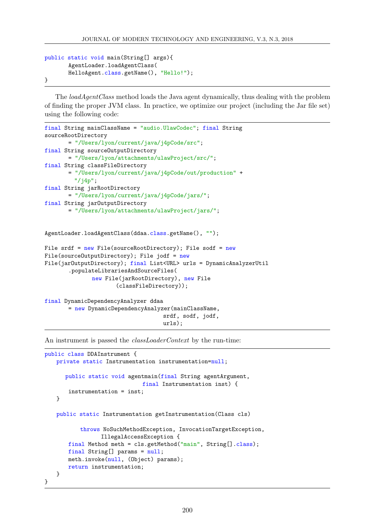```
public static void main(String[] args){
       AgentLoader.loadAgentClass(
       HelloAgent.class.getName(), "Hello!");
}
```
The *loadAgentClass* method loads the Java agent dynamically, thus dealing with the problem of finding the proper JVM class. In practice, we optimize our project (including the Jar file set) using the following code:

```
final String mainClassName = "audio.UlawCodec"; final String
sourceRootDirectory
       = "/Users/lyon/current/java/j4pCode/src";
final String sourceOutputDirectory
       = "/Users/lyon/attachments/ulawProject/src/";
final String classFileDirectory
       = "/Users/lyon/current/java/j4pCode/out/production" +
         "/j4p";
final String jarRootDirectory
       = "/Users/lyon/current/java/j4pCode/jars/";
final String jarOutputDirectory
       = "/Users/lyon/attachments/ulawProject/jars/";
AgentLoader.loadAgentClass(ddaa.class.getName(), "");
File srdf = new File(sourceRootDirectory); File sodf = newFile(sourceOutputDirectory); File jodf = new
File(jarOutputDirectory); final List<URL> urls = DynamicAnalyzerUtil
       .populateLibrariesAndSourceFiles(
              new File(jarRootDirectory), new File
                      (classFileDirectory));
final DynamicDependencyAnalyzer ddaa
       = new DynamicDependencyAnalyzer(mainClassName,
                                    srdf, sodf, jodf,
```
urls);

An instrument is passed the *classLoaderContext* by the run-time:

```
public class DDAInstrument {
   private static Instrumentation instrumentation=null;
      public static void agentmain(final String agentArgument,
                              final Instrumentation inst) {
       instrumentation = inst;
   }
   public static Instrumentation getInstrumentation(Class cls)
           throws NoSuchMethodException, InvocationTargetException,
                 IllegalAccessException {
       final Method meth = cls.getMethod("main", String[].class);
       final String[] params = null;
       meth.invoke(null, (Object) params);
       return instrumentation;
   }
}
```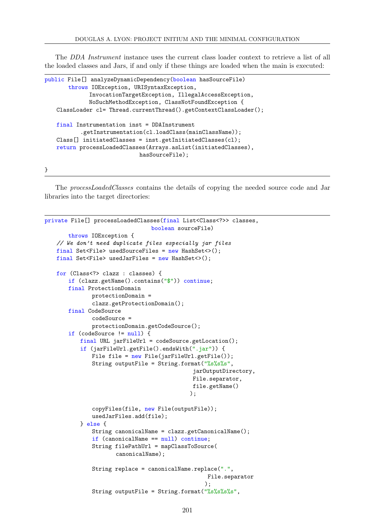The *DDA Instrument* instance uses the current class loader context to retrieve a list of all the loaded classes and Jars, if and only if these things are loaded when the main is executed:

```
public File[] analyzeDynamicDependency(boolean hasSourceFile)
       throws IOException, URISyntaxException,
             InvocationTargetException, IllegalAccessException,
             NoSuchMethodException, ClassNotFoundException {
   ClassLoader cl= Thread.currentThread().getContextClassLoader();
   final Instrumentation inst = DDAInstrument
           .getInstrumentation(cl.loadClass(mainClassName));
   Class[] initiatedClasses = inst.getInitiatedClasses(cl);
   return processLoadedClasses(Arrays.asList(initiatedClasses),
                             hasSourceFile);
```
}

The *processLoadedClasses* contains the details of copying the needed source code and Jar libraries into the target directories:

```
private File[] processLoadedClasses(final List<Class<?>> classes,
                                 boolean sourceFile)
       throws IOException {
    // We don't need duplicate files especially jar files
    final Set<File> usedSourceFiles = new HashSet<>();
    final Set<File> usedJarFiles = new HashSet<>();
   for (Class<?> clazz : classes) {
       if (clazz.getName().contains("$")) continue;
       final ProtectionDomain
               protectionDomain =
               clazz.getProtectionDomain();
       final CodeSource
               codeSource =
               protectionDomain.getCodeSource();
       if (codeSource != null) {
           final URL jarFileUrl = codeSource.getLocation();
           if (jarFileUrl.getFile().endsWith(".jar")) {
               File file = new File(jarFileUrl.getFile());
               String outputFile = String.format(\frac{9}{8}\%s\frac{9}{8}\%s",
                                               jarOutputDirectory,
                                               File.separator,
                                              file.getName()
                                              );
               copyFiles(file, new File(outputFile));
               usedJarFiles.add(file);
           } else {
               String canonicalName = clazz.getCanonicalName();
               if (canonicalName == null) continue;
               String filePathUrl = mapClassToSource(
                      canonicalName);
               String replace = canonicalName.replace(".",
                                                   File.separator
                                                  );
               String outputFile = String.format("%s%s%s%s",
```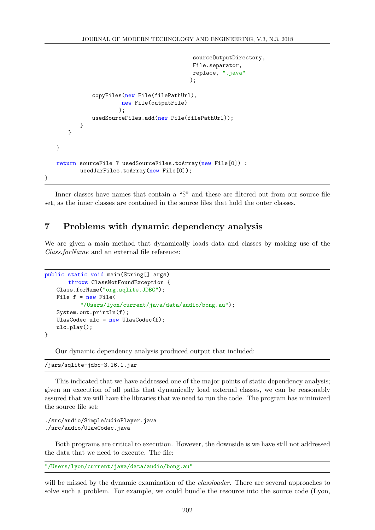```
sourceOutputDirectory,
                                              File.separator,
                                              replace, ".java"
                                             );
               copyFiles(new File(filePathUrl),
                        new File(outputFile)
                       );
               usedSourceFiles.add(new File(filePathUrl));
           }
       }
   }
   return sourceFile ? usedSourceFiles.toArray(new File[0]) :
           usedJarFiles.toArray(new File[0]);
}
```
Inner classes have names that contain a "\$" and these are filtered out from our source file set, as the inner classes are contained in the source files that hold the outer classes.

# **7 Problems with dynamic dependency analysis**

We are given a main method that dynamically loads data and classes by making use of the *Class.forName* and an external file reference:

```
public static void main(String[] args)
       throws ClassNotFoundException {
   Class.forName("org.sqlite.JDBC");
   File f = new File(
           "/Users/lyon/current/java/data/audio/bong.au");
   System.out.println(f);
   UlawCodec ulc = new UlawCodec(f);
   ulc.play();
}
```
Our dynamic dependency analysis produced output that included:

/jars/sqlite-jdbc-3.16.1.jar

This indicated that we have addressed one of the major points of static dependency analysis; given an execution of all paths that dynamically load external classes, we can be reasonably assured that we will have the libraries that we need to run the code. The program has minimized the source file set:

```
./src/audio/SimpleAudioPlayer.java
./src/audio/UlawCodec.java
```
Both programs are critical to execution. However, the downside is we have still not addressed the data that we need to execute. The file:

```
"/Users/lyon/current/java/data/audio/bong.au"
```
will be missed by the dynamic examination of the *classloader*. There are several approaches to solve such a problem. For example, we could bundle the resource into the source code (Lyon,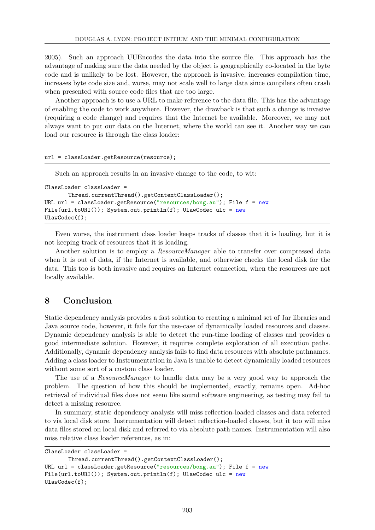2005). Such an approach UUEncodes the data into the source file. This approach has the advantage of making sure the data needed by the object is geographically co-located in the byte code and is unlikely to be lost. However, the approach is invasive, increases compilation time, increases byte code size and, worse, may not scale well to large data since compilers often crash when presented with source code files that are too large.

Another approach is to use a URL to make reference to the data file. This has the advantage of enabling the code to work anywhere. However, the drawback is that such a change is invasive (requiring a code change) and requires that the Internet be available. Moreover, we may not always want to put our data on the Internet, where the world can see it. Another way we can load our resource is through the class loader:

```
url = classLoader.getResource(resource);
```
Such an approach results in an invasive change to the code, to wit:

```
ClassLoader classLoader =
       Thread.currentThread().getContextClassLoader();
URL url = classLoader.getResource("resources/bong.au"); File f = newFile(url.toURI()); System.out.println(f); UlawCodec ulc = new
UlawCodec(f);
```
Even worse, the instrument class loader keeps tracks of classes that it is loading, but it is not keeping track of resources that it is loading.

Another solution is to employ a *ResourceManager* able to transfer over compressed data when it is out of data, if the Internet is available, and otherwise checks the local disk for the data. This too is both invasive and requires an Internet connection, when the resources are not locally available.

# **8 Conclusion**

Static dependency analysis provides a fast solution to creating a minimal set of Jar libraries and Java source code, however, it fails for the use-case of dynamically loaded resources and classes. Dynamic dependency analysis is able to detect the run-time loading of classes and provides a good intermediate solution. However, it requires complete exploration of all execution paths. Additionally, dynamic dependency analysis fails to find data resources with absolute pathnames. Adding a class loader to Instrumentation in Java is unable to detect dynamically loaded resources without some sort of a custom class loader.

The use of a *ResourceManager* to handle data may be a very good way to approach the problem. The question of how this should be implemented, exactly, remains open. Ad-hoc retrieval of individual files does not seem like sound software engineering, as testing may fail to detect a missing resource.

In summary, static dependency analysis will miss reflection-loaded classes and data referred to via local disk store. Instrumentation will detect reflection-loaded classes, but it too will miss data files stored on local disk and referred to via absolute path names. Instrumentation will also miss relative class loader references, as in:

```
ClassLoader classLoader =
```

```
Thread.currentThread().getContextClassLoader();
URL url = classLoader.getResource("resources/bong.au"); File f = newFile(url.toURI()); System.out.println(f); UlawCodec ulc = new
UlawCodec(f);
```